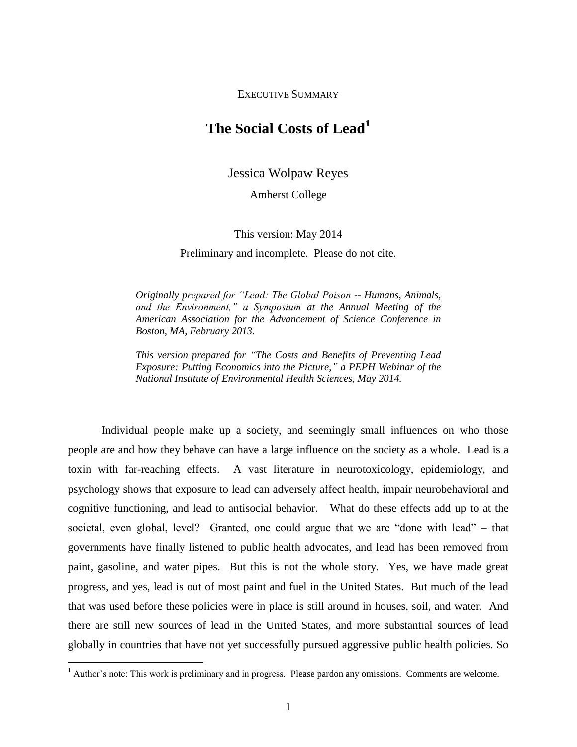EXECUTIVE SUMMARY

## **The Social Costs of Lead<sup>1</sup>**

Jessica Wolpaw Reyes

Amherst College

This version: May 2014

Preliminary and incomplete. Please do not cite.

*Originally prepared for "Lead: The Global Poison -- Humans, Animals, and the Environment," a Symposium at the Annual Meeting of the American Association for the Advancement of Science Conference in Boston, MA, February 2013.*

*This version prepared for "The Costs and Benefits of Preventing Lead Exposure: Putting Economics into the Picture," a PEPH Webinar of the National Institute of Environmental Health Sciences, May 2014.*

Individual people make up a society, and seemingly small influences on who those people are and how they behave can have a large influence on the society as a whole. Lead is a toxin with far-reaching effects. A vast literature in neurotoxicology, epidemiology, and psychology shows that exposure to lead can adversely affect health, impair neurobehavioral and cognitive functioning, and lead to antisocial behavior. What do these effects add up to at the societal, even global, level? Granted, one could argue that we are "done with lead" – that governments have finally listened to public health advocates, and lead has been removed from paint, gasoline, and water pipes. But this is not the whole story. Yes, we have made great progress, and yes, lead is out of most paint and fuel in the United States. But much of the lead that was used before these policies were in place is still around in houses, soil, and water. And there are still new sources of lead in the United States, and more substantial sources of lead globally in countries that have not yet successfully pursued aggressive public health policies. So

 $\overline{a}$ 

<sup>&</sup>lt;sup>1</sup> Author's note: This work is preliminary and in progress. Please pardon any omissions. Comments are welcome.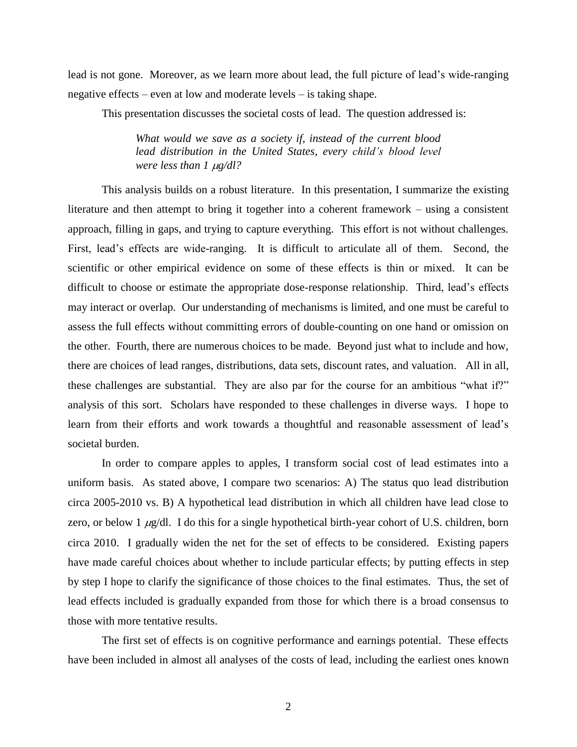lead is not gone. Moreover, as we learn more about lead, the full picture of lead's wide-ranging negative effects – even at low and moderate levels – is taking shape.

This presentation discusses the societal costs of lead. The question addressed is:

*What would we save as a society if, instead of the current blood lead distribution in the United States, every child's blood level were less than 1 µg/dl?* 

This analysis builds on a robust literature. In this presentation, I summarize the existing literature and then attempt to bring it together into a coherent framework – using a consistent approach, filling in gaps, and trying to capture everything. This effort is not without challenges. First, lead's effects are wide-ranging. It is difficult to articulate all of them. Second, the scientific or other empirical evidence on some of these effects is thin or mixed. It can be difficult to choose or estimate the appropriate dose-response relationship. Third, lead's effects may interact or overlap. Our understanding of mechanisms is limited, and one must be careful to assess the full effects without committing errors of double-counting on one hand or omission on the other. Fourth, there are numerous choices to be made. Beyond just what to include and how, there are choices of lead ranges, distributions, data sets, discount rates, and valuation. All in all, these challenges are substantial. They are also par for the course for an ambitious "what if?" analysis of this sort. Scholars have responded to these challenges in diverse ways. I hope to learn from their efforts and work towards a thoughtful and reasonable assessment of lead's societal burden.

In order to compare apples to apples, I transform social cost of lead estimates into a uniform basis. As stated above, I compare two scenarios: A) The status quo lead distribution circa 2005-2010 vs. B) A hypothetical lead distribution in which all children have lead close to zero, or below 1  $\mu$ g/dl. I do this for a single hypothetical birth-year cohort of U.S. children, born circa 2010. I gradually widen the net for the set of effects to be considered. Existing papers have made careful choices about whether to include particular effects; by putting effects in step by step I hope to clarify the significance of those choices to the final estimates. Thus, the set of lead effects included is gradually expanded from those for which there is a broad consensus to those with more tentative results.

The first set of effects is on cognitive performance and earnings potential. These effects have been included in almost all analyses of the costs of lead, including the earliest ones known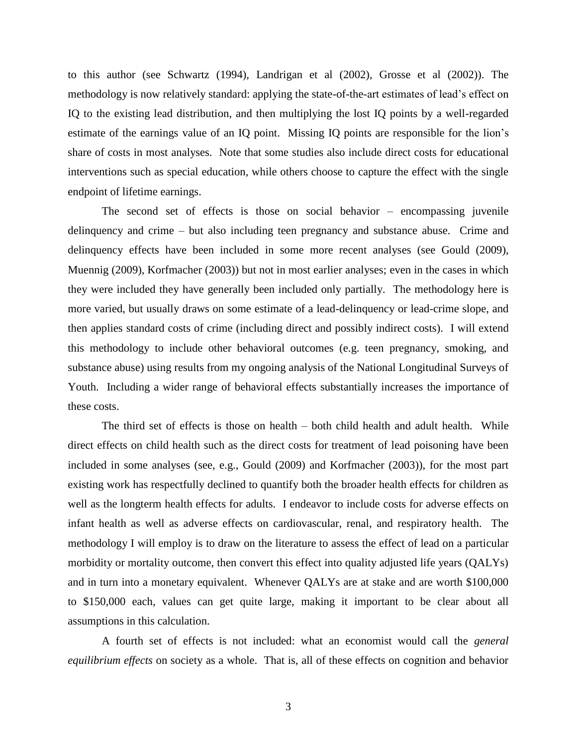to this author (see Schwartz (1994), Landrigan et al (2002), Grosse et al (2002)). The methodology is now relatively standard: applying the state-of-the-art estimates of lead's effect on IQ to the existing lead distribution, and then multiplying the lost IQ points by a well-regarded estimate of the earnings value of an IQ point. Missing IQ points are responsible for the lion's share of costs in most analyses. Note that some studies also include direct costs for educational interventions such as special education, while others choose to capture the effect with the single endpoint of lifetime earnings.

The second set of effects is those on social behavior – encompassing juvenile delinquency and crime – but also including teen pregnancy and substance abuse. Crime and delinquency effects have been included in some more recent analyses (see Gould (2009), Muennig (2009), Korfmacher (2003)) but not in most earlier analyses; even in the cases in which they were included they have generally been included only partially. The methodology here is more varied, but usually draws on some estimate of a lead-delinquency or lead-crime slope, and then applies standard costs of crime (including direct and possibly indirect costs). I will extend this methodology to include other behavioral outcomes (e.g. teen pregnancy, smoking, and substance abuse) using results from my ongoing analysis of the National Longitudinal Surveys of Youth. Including a wider range of behavioral effects substantially increases the importance of these costs.

The third set of effects is those on health – both child health and adult health. While direct effects on child health such as the direct costs for treatment of lead poisoning have been included in some analyses (see, e.g., Gould (2009) and Korfmacher (2003)), for the most part existing work has respectfully declined to quantify both the broader health effects for children as well as the longterm health effects for adults. I endeavor to include costs for adverse effects on infant health as well as adverse effects on cardiovascular, renal, and respiratory health. The methodology I will employ is to draw on the literature to assess the effect of lead on a particular morbidity or mortality outcome, then convert this effect into quality adjusted life years (QALYs) and in turn into a monetary equivalent. Whenever QALYs are at stake and are worth \$100,000 to \$150,000 each, values can get quite large, making it important to be clear about all assumptions in this calculation.

A fourth set of effects is not included: what an economist would call the *general equilibrium effects* on society as a whole. That is, all of these effects on cognition and behavior